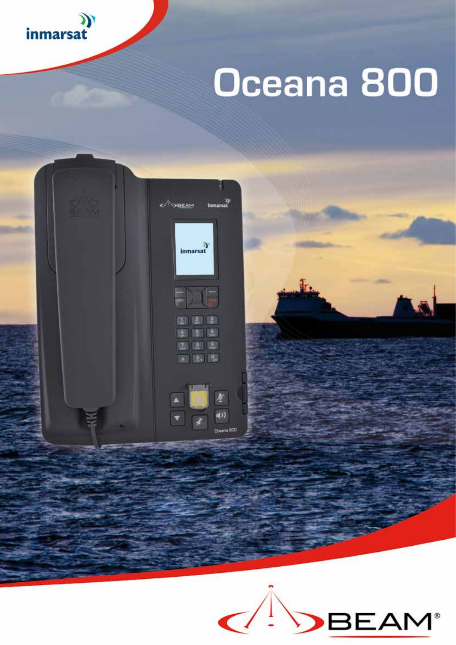

# Oceana 800



![](_page_0_Picture_3.jpeg)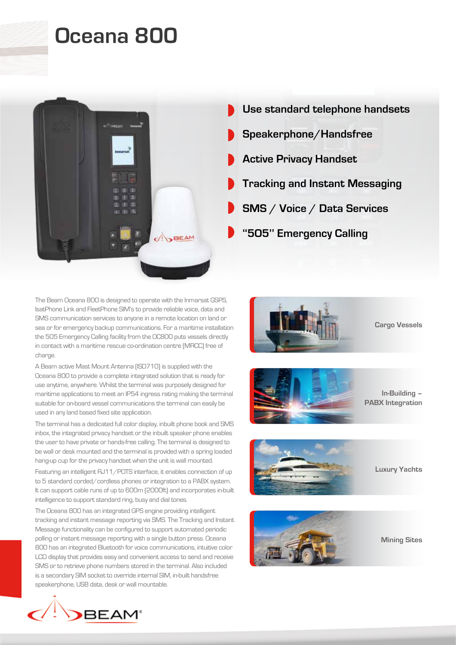## **Oceana 800**

![](_page_1_Picture_1.jpeg)

The Beam Oceana 800 is designed to operate with the Inmarsat GSPS, IsatPhone Link and FleetPhone SIM's to provide reliable voice, data and SMS communication services to anyone in a remote location on land or sea or for emergency backup communications. For a maritime installation the 505 Emergency Calling facility from the OC800 puts vessels directly in contact with a maritime rescue co-ordination centre (MRCC) free of charge.

A Beam active Mast Mount Antenna (ISD710) is supplied with the Oceana 800 to provide a complete integrated solution that is ready for use anytime, anywhere. Whilst the terminal was purposely designed for maritime applications to meet an IP54 ingress rating making the terminal suitable for on-board vessel communications the terminal can easily be used in any land based fixed site application.

The terminal has a dedicated full color display, inbuilt phone book and SMS inbox, the integrated privacy handset or the inbuilt speaker phone enables the user to have private or hands-free calling. The terminal is designed to be wall or desk mounted and the terminal is provided with a spring loaded hang-up cup for the privacy handset when the unit is wall mounted.

Featuring an intelligent RJ11/POTS interface, it enables connection of up to 5 standard corded/cordless phones or integration to a PABX system. It can support cable runs of up to 600m (2000ft) and incorporates in-built intelligence to support standard ring, busy and dial tones.

The Oceana 800 has an integrated GPS engine providing intelligent tracking and instant message reporting via SMS. The Tracking and Instant Message functionality can be configured to support automated periodic polling or instant message reporting with a single button press. Oceana 800 has an integrated Bluetooth for voice communications, intuitive color LCD display that provides easy and convenient access to send and receive SMS or to retrieve phone numbers stored in the terminal. Also included is a secondary SIM socket to override internal SIM, in-built handsfree speakerphone, USB data, desk or wall mountable.

![](_page_1_Picture_7.jpeg)

**Cargo Vessels**

![](_page_1_Picture_9.jpeg)

**In-Building – PABX Integration**

![](_page_1_Picture_11.jpeg)

**Luxury Yachts**

![](_page_1_Picture_13.jpeg)

**Mining Sites**

![](_page_1_Picture_15.jpeg)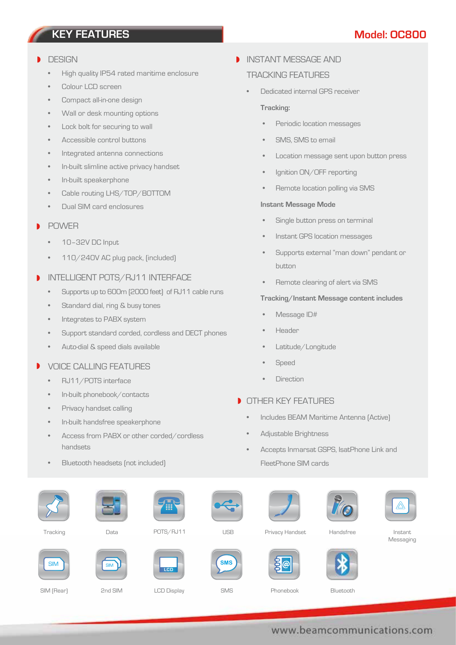### **KEY FEATURES Model: OC800**

#### **DESIGN**

- High quality IP54 rated maritime enclosure
- Colour LCD screen
- Compact all-in-one design
- Wall or desk mounting options
- Lock bolt for securing to wall
- Accessible control buttons
- Integrated antenna connections
- In-built slimline active privacy handset
- In-built speakerphone
- Cable routing LHS/TOP/BOTTOM
- Dual SIM card enclosures

#### POWER

- 10–32V DC Input
- 110/240V AC plug pack, (included)
- INTELLIGENT POTS/RJ11 INTERFACE
	- Supports up to 600m (2000 feet) of RJ11 cable runs
	- Standard dial, ring & busy tones
	- Integrates to PABX system
	- Support standard corded, cordless and DECT phones
	- Auto-dial & speed dials available

#### $\blacksquare$ VOICE CALLING FEATURES

- RJ11/POTS interface
- In-built phonebook/contacts
- Privacy handset calling
- In-built handsfree speakerphone
- Access from PABX or other corded/cordless handsets
- Bluetooth headsets (not included)

#### **INSTANT MESSAGE AND**

#### TRACKING FEATURES

• Dedicated internal GPS receiver

#### **Tracking:**

- Periodic location messages
- SMS, SMS to email
- Location message sent upon button press
- Ignition ON/OFF reporting
- Remote location polling via SMS

#### **Instant Message Mode**

- Single button press on terminal
- Instant GPS location messages
- Supports external "man down" pendant or button
- Remote clearing of alert via SMS

#### **Tracking/Instant Message content includes**

- Message ID#
- Header
- Latitude/Longitude
- **Speed**
- **Direction**

#### **OTHER KEY FEATURES**

- Includes BEAM Maritime Antenna (Active)
- Adjustable Brightness
- Accepts Inmarsat GSPS, IsatPhone Link and FleetPhone SIM cards

|            | Giovanni   | Ŧ           | $\leftarrow$ |                 |           | ∕∆                   |
|------------|------------|-------------|--------------|-----------------|-----------|----------------------|
| Tracking   | Data       | POTS/RJ11   | <b>USB</b>   | Privacy Handset | Handsfree | Instant<br>Messaging |
| <b>SIM</b> | <b>SIM</b> | <b>LCD</b>  | <b>SMS</b>   |                 |           |                      |
| SIM (Rear) | 2nd SIM    | LCD Display | SMS          | Phonebook       | Bluetooth |                      |

#### www.beamcommunications.com